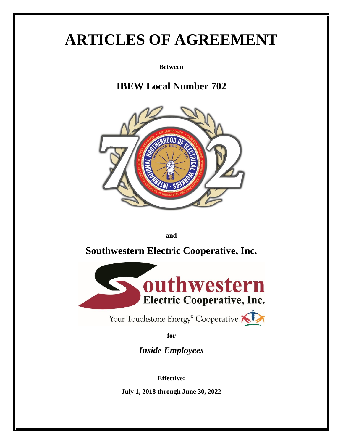# **ARTICLES OF AGREEMENT**

**Between**

# **IBEW Local Number 702**



**and**

# **Southwestern Electric Cooperative, Inc.**



Your Touchstone Energy<sup>®</sup> Cooperative

**for**

*Inside Employees*

**Effective:**

**July 1, 2018 through June 30, 2022**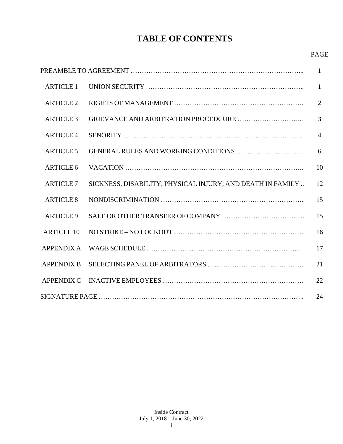# **TABLE OF CONTENTS**

#### PAGE

|                   |                                                            | $\mathbf{1}$   |
|-------------------|------------------------------------------------------------|----------------|
| <b>ARTICLE 1</b>  |                                                            | $\mathbf{1}$   |
| <b>ARTICLE 2</b>  |                                                            | $\overline{2}$ |
| <b>ARTICLE 3</b>  |                                                            | 3              |
| <b>ARTICLE 4</b>  |                                                            | $\overline{4}$ |
| <b>ARTICLE 5</b>  |                                                            | 6              |
| <b>ARTICLE 6</b>  |                                                            | 10             |
| <b>ARTICLE 7</b>  | SICKNESS, DISABILITY, PHYSICAL INJURY, AND DEATH IN FAMILY | 12             |
| <b>ARTICLE 8</b>  |                                                            | 15             |
| <b>ARTICLE 9</b>  |                                                            | 15             |
| <b>ARTICLE 10</b> |                                                            | 16             |
| <b>APPENDIX A</b> |                                                            | 17             |
| <b>APPENDIX B</b> |                                                            | 21             |
| <b>APPENDIX C</b> |                                                            | 22             |
|                   |                                                            | 24             |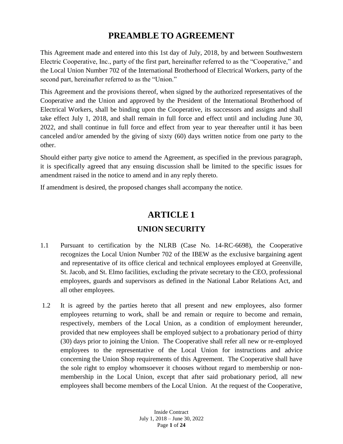### **PREAMBLE TO AGREEMENT**

This Agreement made and entered into this 1st day of July, 2018, by and between Southwestern Electric Cooperative, Inc., party of the first part, hereinafter referred to as the "Cooperative," and the Local Union Number 702 of the International Brotherhood of Electrical Workers, party of the second part, hereinafter referred to as the "Union."

This Agreement and the provisions thereof, when signed by the authorized representatives of the Cooperative and the Union and approved by the President of the International Brotherhood of Electrical Workers, shall be binding upon the Cooperative, its successors and assigns and shall take effect July 1, 2018, and shall remain in full force and effect until and including June 30, 2022, and shall continue in full force and effect from year to year thereafter until it has been canceled and/or amended by the giving of sixty (60) days written notice from one party to the other.

Should either party give notice to amend the Agreement, as specified in the previous paragraph, it is specifically agreed that any ensuing discussion shall be limited to the specific issues for amendment raised in the notice to amend and in any reply thereto.

If amendment is desired, the proposed changes shall accompany the notice.

### **ARTICLE 1**

### **UNION SECURITY**

- 1.1 Pursuant to certification by the NLRB (Case No. 14-RC-6698), the Cooperative recognizes the Local Union Number 702 of the IBEW as the exclusive bargaining agent and representative of its office clerical and technical employees employed at Greenville, St. Jacob, and St. Elmo facilities, excluding the private secretary to the CEO, professional employees, guards and supervisors as defined in the National Labor Relations Act, and all other employees.
- 1.2 It is agreed by the parties hereto that all present and new employees, also former employees returning to work, shall be and remain or require to become and remain, respectively, members of the Local Union, as a condition of employment hereunder, provided that new employees shall be employed subject to a probationary period of thirty (30) days prior to joining the Union. The Cooperative shall refer all new or re-employed employees to the representative of the Local Union for instructions and advice concerning the Union Shop requirements of this Agreement. The Cooperative shall have the sole right to employ whomsoever it chooses without regard to membership or nonmembership in the Local Union, except that after said probationary period, all new employees shall become members of the Local Union. At the request of the Cooperative,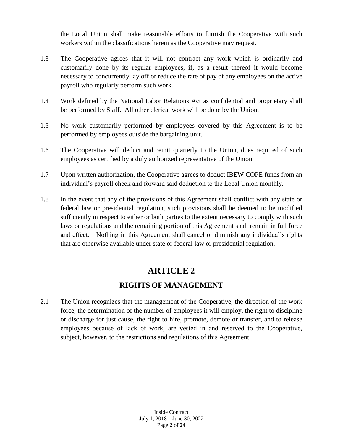the Local Union shall make reasonable efforts to furnish the Cooperative with such workers within the classifications herein as the Cooperative may request.

- 1.3 The Cooperative agrees that it will not contract any work which is ordinarily and customarily done by its regular employees, if, as a result thereof it would become necessary to concurrently lay off or reduce the rate of pay of any employees on the active payroll who regularly perform such work.
- 1.4 Work defined by the National Labor Relations Act as confidential and proprietary shall be performed by Staff. All other clerical work will be done by the Union.
- 1.5 No work customarily performed by employees covered by this Agreement is to be performed by employees outside the bargaining unit.
- 1.6 The Cooperative will deduct and remit quarterly to the Union, dues required of such employees as certified by a duly authorized representative of the Union.
- 1.7 Upon written authorization, the Cooperative agrees to deduct IBEW COPE funds from an individual's payroll check and forward said deduction to the Local Union monthly.
- 1.8 In the event that any of the provisions of this Agreement shall conflict with any state or federal law or presidential regulation, such provisions shall be deemed to be modified sufficiently in respect to either or both parties to the extent necessary to comply with such laws or regulations and the remaining portion of this Agreement shall remain in full force and effect. Nothing in this Agreement shall cancel or diminish any individual's rights that are otherwise available under state or federal law or presidential regulation.

### **ARTICLE 2**

#### **RIGHTS OF MANAGEMENT**

2.1 The Union recognizes that the management of the Cooperative, the direction of the work force, the determination of the number of employees it will employ, the right to discipline or discharge for just cause, the right to hire, promote, demote or transfer, and to release employees because of lack of work, are vested in and reserved to the Cooperative, subject, however, to the restrictions and regulations of this Agreement.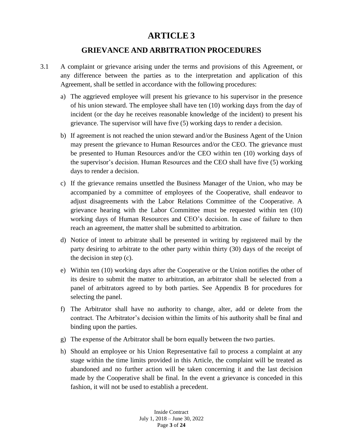#### **GRIEVANCE AND ARBITRATION PROCEDURES**

- 3.1 A complaint or grievance arising under the terms and provisions of this Agreement, or any difference between the parties as to the interpretation and application of this Agreement, shall be settled in accordance with the following procedures:
	- a) The aggrieved employee will present his grievance to his supervisor in the presence of his union steward. The employee shall have ten (10) working days from the day of incident (or the day he receives reasonable knowledge of the incident) to present his grievance. The supervisor will have five (5) working days to render a decision.
	- b) If agreement is not reached the union steward and/or the Business Agent of the Union may present the grievance to Human Resources and/or the CEO. The grievance must be presented to Human Resources and/or the CEO within ten (10) working days of the supervisor's decision. Human Resources and the CEO shall have five (5) working days to render a decision.
	- c) If the grievance remains unsettled the Business Manager of the Union, who may be accompanied by a committee of employees of the Cooperative, shall endeavor to adjust disagreements with the Labor Relations Committee of the Cooperative. A grievance hearing with the Labor Committee must be requested within ten (10) working days of Human Resources and CEO's decision. In case of failure to then reach an agreement, the matter shall be submitted to arbitration.
	- d) Notice of intent to arbitrate shall be presented in writing by registered mail by the party desiring to arbitrate to the other party within thirty (30) days of the receipt of the decision in step (c).
	- e) Within ten (10) working days after the Cooperative or the Union notifies the other of its desire to submit the matter to arbitration, an arbitrator shall be selected from a panel of arbitrators agreed to by both parties. See Appendix B for procedures for selecting the panel.
	- f) The Arbitrator shall have no authority to change, alter, add or delete from the contract. The Arbitrator's decision within the limits of his authority shall be final and binding upon the parties.
	- g) The expense of the Arbitrator shall be born equally between the two parties.
	- h) Should an employee or his Union Representative fail to process a complaint at any stage within the time limits provided in this Article, the complaint will be treated as abandoned and no further action will be taken concerning it and the last decision made by the Cooperative shall be final. In the event a grievance is conceded in this fashion, it will not be used to establish a precedent.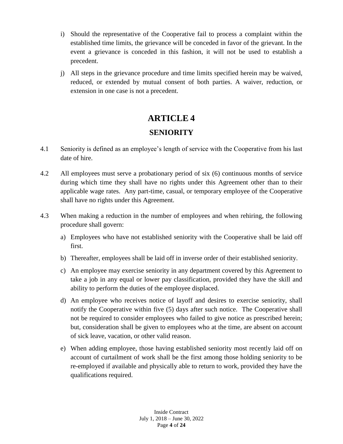- i) Should the representative of the Cooperative fail to process a complaint within the established time limits, the grievance will be conceded in favor of the grievant. In the event a grievance is conceded in this fashion, it will not be used to establish a precedent.
- j) All steps in the grievance procedure and time limits specified herein may be waived, reduced, or extended by mutual consent of both parties. A waiver, reduction, or extension in one case is not a precedent.

### **SENIORITY**

- 4.1 Seniority is defined as an employee's length of service with the Cooperative from his last date of hire.
- 4.2 All employees must serve a probationary period of six (6) continuous months of service during which time they shall have no rights under this Agreement other than to their applicable wage rates. Any part-time, casual, or temporary employee of the Cooperative shall have no rights under this Agreement.
- 4.3 When making a reduction in the number of employees and when rehiring, the following procedure shall govern:
	- a) Employees who have not established seniority with the Cooperative shall be laid off first.
	- b) Thereafter, employees shall be laid off in inverse order of their established seniority.
	- c) An employee may exercise seniority in any department covered by this Agreement to take a job in any equal or lower pay classification, provided they have the skill and ability to perform the duties of the employee displaced.
	- d) An employee who receives notice of layoff and desires to exercise seniority, shall notify the Cooperative within five (5) days after such notice. The Cooperative shall not be required to consider employees who failed to give notice as prescribed herein; but, consideration shall be given to employees who at the time, are absent on account of sick leave, vacation, or other valid reason.
	- e) When adding employee, those having established seniority most recently laid off on account of curtailment of work shall be the first among those holding seniority to be re-employed if available and physically able to return to work, provided they have the qualifications required.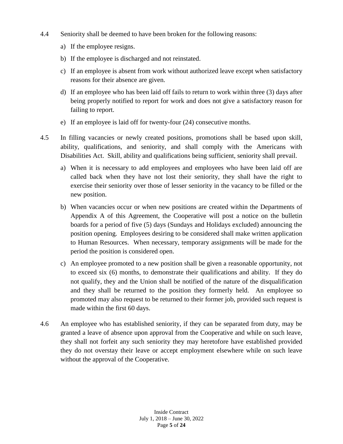- 4.4 Seniority shall be deemed to have been broken for the following reasons:
	- a) If the employee resigns.
	- b) If the employee is discharged and not reinstated.
	- c) If an employee is absent from work without authorized leave except when satisfactory reasons for their absence are given.
	- d) If an employee who has been laid off fails to return to work within three (3) days after being properly notified to report for work and does not give a satisfactory reason for failing to report.
	- e) If an employee is laid off for twenty-four (24) consecutive months.
- 4.5 In filling vacancies or newly created positions, promotions shall be based upon skill, ability, qualifications, and seniority, and shall comply with the Americans with Disabilities Act. Skill, ability and qualifications being sufficient, seniority shall prevail.
	- a) When it is necessary to add employees and employees who have been laid off are called back when they have not lost their seniority, they shall have the right to exercise their seniority over those of lesser seniority in the vacancy to be filled or the new position.
	- b) When vacancies occur or when new positions are created within the Departments of Appendix A of this Agreement, the Cooperative will post a notice on the bulletin boards for a period of five (5) days (Sundays and Holidays excluded) announcing the position opening. Employees desiring to be considered shall make written application to Human Resources. When necessary, temporary assignments will be made for the period the position is considered open.
	- c) An employee promoted to a new position shall be given a reasonable opportunity, not to exceed six (6) months, to demonstrate their qualifications and ability. If they do not qualify, they and the Union shall be notified of the nature of the disqualification and they shall be returned to the position they formerly held. An employee so promoted may also request to be returned to their former job, provided such request is made within the first 60 days.
- 4.6 An employee who has established seniority, if they can be separated from duty, may be granted a leave of absence upon approval from the Cooperative and while on such leave, they shall not forfeit any such seniority they may heretofore have established provided they do not overstay their leave or accept employment elsewhere while on such leave without the approval of the Cooperative.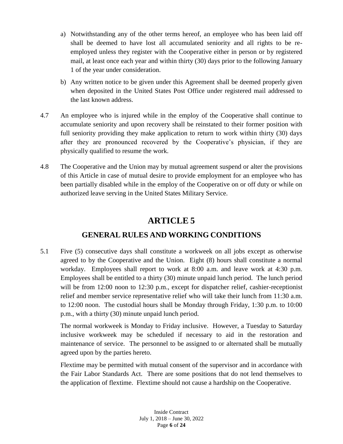- a) Notwithstanding any of the other terms hereof, an employee who has been laid off shall be deemed to have lost all accumulated seniority and all rights to be reemployed unless they register with the Cooperative either in person or by registered mail, at least once each year and within thirty (30) days prior to the following January 1 of the year under consideration.
- b) Any written notice to be given under this Agreement shall be deemed properly given when deposited in the United States Post Office under registered mail addressed to the last known address.
- 4.7 An employee who is injured while in the employ of the Cooperative shall continue to accumulate seniority and upon recovery shall be reinstated to their former position with full seniority providing they make application to return to work within thirty (30) days after they are pronounced recovered by the Cooperative's physician, if they are physically qualified to resume the work.
- 4.8 The Cooperative and the Union may by mutual agreement suspend or alter the provisions of this Article in case of mutual desire to provide employment for an employee who has been partially disabled while in the employ of the Cooperative on or off duty or while on authorized leave serving in the United States Military Service.

### **GENERAL RULES AND WORKING CONDITIONS**

5.1 Five (5) consecutive days shall constitute a workweek on all jobs except as otherwise agreed to by the Cooperative and the Union. Eight (8) hours shall constitute a normal workday. Employees shall report to work at 8:00 a.m. and leave work at 4:30 p.m. Employees shall be entitled to a thirty (30) minute unpaid lunch period. The lunch period will be from 12:00 noon to 12:30 p.m., except for dispatcher relief, cashier-receptionist relief and member service representative relief who will take their lunch from 11:30 a.m. to 12:00 noon. The custodial hours shall be Monday through Friday, 1:30 p.m. to 10:00 p.m., with a thirty (30) minute unpaid lunch period.

The normal workweek is Monday to Friday inclusive. However, a Tuesday to Saturday inclusive workweek may be scheduled if necessary to aid in the restoration and maintenance of service. The personnel to be assigned to or alternated shall be mutually agreed upon by the parties hereto.

Flextime may be permitted with mutual consent of the supervisor and in accordance with the Fair Labor Standards Act. There are some positions that do not lend themselves to the application of flextime. Flextime should not cause a hardship on the Cooperative.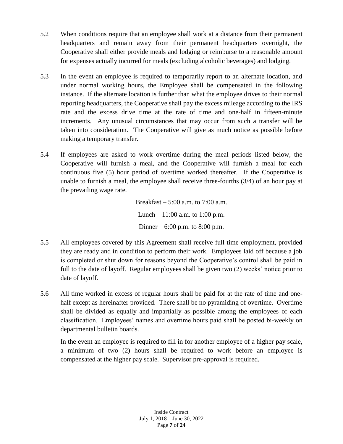- 5.2 When conditions require that an employee shall work at a distance from their permanent headquarters and remain away from their permanent headquarters overnight, the Cooperative shall either provide meals and lodging or reimburse to a reasonable amount for expenses actually incurred for meals (excluding alcoholic beverages) and lodging.
- 5.3 In the event an employee is required to temporarily report to an alternate location, and under normal working hours, the Employee shall be compensated in the following instance. If the alternate location is further than what the employee drives to their normal reporting headquarters, the Cooperative shall pay the excess mileage according to the IRS rate and the excess drive time at the rate of time and one-half in fifteen-minute increments. Any unusual circumstances that may occur from such a transfer will be taken into consideration. The Cooperative will give as much notice as possible before making a temporary transfer.
- 5.4 If employees are asked to work overtime during the meal periods listed below, the Cooperative will furnish a meal, and the Cooperative will furnish a meal for each continuous five (5) hour period of overtime worked thereafter. If the Cooperative is unable to furnish a meal, the employee shall receive three-fourths (3/4) of an hour pay at the prevailing wage rate.

Breakfast – 5:00 a.m. to 7:00 a.m. Lunch –  $11:00$  a.m. to  $1:00$  p.m. Dinner – 6:00 p.m. to 8:00 p.m.

- 5.5 All employees covered by this Agreement shall receive full time employment, provided they are ready and in condition to perform their work. Employees laid off because a job is completed or shut down for reasons beyond the Cooperative's control shall be paid in full to the date of layoff. Regular employees shall be given two (2) weeks' notice prior to date of layoff.
- 5.6 All time worked in excess of regular hours shall be paid for at the rate of time and onehalf except as hereinafter provided. There shall be no pyramiding of overtime. Overtime shall be divided as equally and impartially as possible among the employees of each classification. Employees' names and overtime hours paid shall be posted bi-weekly on departmental bulletin boards.

In the event an employee is required to fill in for another employee of a higher pay scale, a minimum of two (2) hours shall be required to work before an employee is compensated at the higher pay scale. Supervisor pre-approval is required.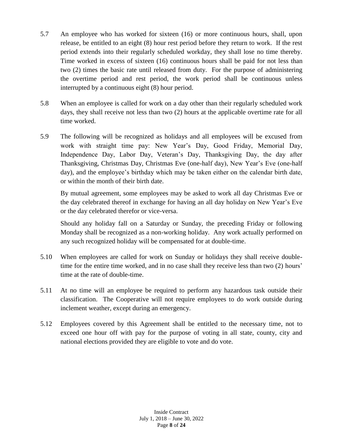- 5.7 An employee who has worked for sixteen (16) or more continuous hours, shall, upon release, be entitled to an eight (8) hour rest period before they return to work. If the rest period extends into their regularly scheduled workday, they shall lose no time thereby. Time worked in excess of sixteen (16) continuous hours shall be paid for not less than two (2) times the basic rate until released from duty. For the purpose of administering the overtime period and rest period, the work period shall be continuous unless interrupted by a continuous eight (8) hour period.
- 5.8 When an employee is called for work on a day other than their regularly scheduled work days, they shall receive not less than two (2) hours at the applicable overtime rate for all time worked.
- 5.9 The following will be recognized as holidays and all employees will be excused from work with straight time pay: New Year's Day, Good Friday, Memorial Day, Independence Day, Labor Day, Veteran's Day, Thanksgiving Day, the day after Thanksgiving, Christmas Day, Christmas Eve (one-half day), New Year's Eve (one-half day), and the employee's birthday which may be taken either on the calendar birth date, or within the month of their birth date.

By mutual agreement, some employees may be asked to work all day Christmas Eve or the day celebrated thereof in exchange for having an all day holiday on New Year's Eve or the day celebrated therefor or vice-versa.

Should any holiday fall on a Saturday or Sunday, the preceding Friday or following Monday shall be recognized as a non-working holiday. Any work actually performed on any such recognized holiday will be compensated for at double-time.

- 5.10 When employees are called for work on Sunday or holidays they shall receive doubletime for the entire time worked, and in no case shall they receive less than two (2) hours' time at the rate of double-time.
- 5.11 At no time will an employee be required to perform any hazardous task outside their classification. The Cooperative will not require employees to do work outside during inclement weather, except during an emergency.
- 5.12 Employees covered by this Agreement shall be entitled to the necessary time, not to exceed one hour off with pay for the purpose of voting in all state, county, city and national elections provided they are eligible to vote and do vote.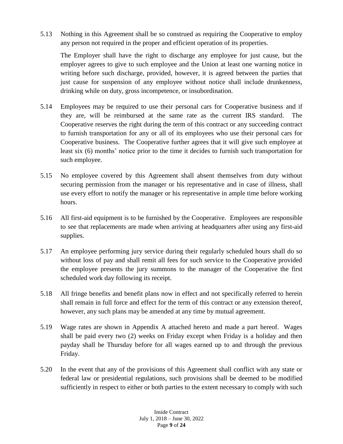5.13 Nothing in this Agreement shall be so construed as requiring the Cooperative to employ any person not required in the proper and efficient operation of its properties.

The Employer shall have the right to discharge any employee for just cause, but the employer agrees to give to such employee and the Union at least one warning notice in writing before such discharge, provided, however, it is agreed between the parties that just cause for suspension of any employee without notice shall include drunkenness, drinking while on duty, gross incompetence, or insubordination.

- 5.14 Employees may be required to use their personal cars for Cooperative business and if they are, will be reimbursed at the same rate as the current IRS standard. The Cooperative reserves the right during the term of this contract or any succeeding contract to furnish transportation for any or all of its employees who use their personal cars for Cooperative business. The Cooperative further agrees that it will give such employee at least six (6) months' notice prior to the time it decides to furnish such transportation for such employee.
- 5.15 No employee covered by this Agreement shall absent themselves from duty without securing permission from the manager or his representative and in case of illness, shall use every effort to notify the manager or his representative in ample time before working hours.
- 5.16 All first-aid equipment is to be furnished by the Cooperative. Employees are responsible to see that replacements are made when arriving at headquarters after using any first-aid supplies.
- 5.17 An employee performing jury service during their regularly scheduled hours shall do so without loss of pay and shall remit all fees for such service to the Cooperative provided the employee presents the jury summons to the manager of the Cooperative the first scheduled work day following its receipt.
- 5.18 All fringe benefits and benefit plans now in effect and not specifically referred to herein shall remain in full force and effect for the term of this contract or any extension thereof, however, any such plans may be amended at any time by mutual agreement.
- 5.19 Wage rates are shown in Appendix A attached hereto and made a part hereof. Wages shall be paid every two (2) weeks on Friday except when Friday is a holiday and then payday shall be Thursday before for all wages earned up to and through the previous Friday.
- 5.20 In the event that any of the provisions of this Agreement shall conflict with any state or federal law or presidential regulations, such provisions shall be deemed to be modified sufficiently in respect to either or both parties to the extent necessary to comply with such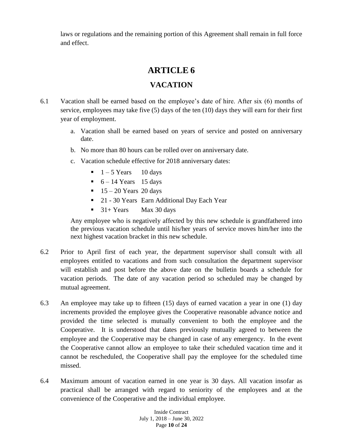laws or regulations and the remaining portion of this Agreement shall remain in full force and effect.

### **ARTICLE 6**

#### **VACATION**

- 6.1 Vacation shall be earned based on the employee's date of hire. After six (6) months of service, employees may take five (5) days of the ten (10) days they will earn for their first year of employment.
	- a. Vacation shall be earned based on years of service and posted on anniversary date.
	- b. No more than 80 hours can be rolled over on anniversary date.
	- c. Vacation schedule effective for 2018 anniversary dates:
		- $\blacksquare$  1 5 Years 10 days
		- $\bullet$  6 14 Years 15 days
		- $\blacksquare$  15 20 Years 20 days
		- <sup>21</sup> 30 Years Earn Additional Day Each Year
		- $\blacksquare$  31+ Years Max 30 days

Any employee who is negatively affected by this new schedule is grandfathered into the previous vacation schedule until his/her years of service moves him/her into the next highest vacation bracket in this new schedule.

- 6.2 Prior to April first of each year, the department supervisor shall consult with all employees entitled to vacations and from such consultation the department supervisor will establish and post before the above date on the bulletin boards a schedule for vacation periods. The date of any vacation period so scheduled may be changed by mutual agreement.
- 6.3 An employee may take up to fifteen (15) days of earned vacation a year in one (1) day increments provided the employee gives the Cooperative reasonable advance notice and provided the time selected is mutually convenient to both the employee and the Cooperative. It is understood that dates previously mutually agreed to between the employee and the Cooperative may be changed in case of any emergency. In the event the Cooperative cannot allow an employee to take their scheduled vacation time and it cannot be rescheduled, the Cooperative shall pay the employee for the scheduled time missed.
- 6.4 Maximum amount of vacation earned in one year is 30 days. All vacation insofar as practical shall be arranged with regard to seniority of the employees and at the convenience of the Cooperative and the individual employee.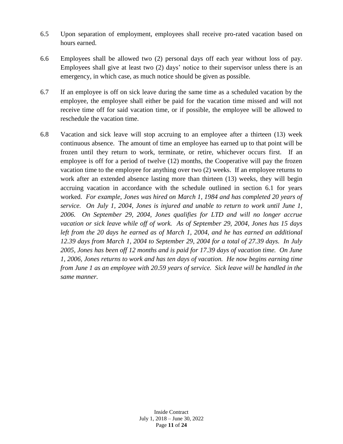- 6.5 Upon separation of employment, employees shall receive pro-rated vacation based on hours earned.
- 6.6 Employees shall be allowed two (2) personal days off each year without loss of pay. Employees shall give at least two (2) days' notice to their supervisor unless there is an emergency, in which case, as much notice should be given as possible.
- 6.7 If an employee is off on sick leave during the same time as a scheduled vacation by the employee, the employee shall either be paid for the vacation time missed and will not receive time off for said vacation time, or if possible, the employee will be allowed to reschedule the vacation time.
- 6.8 Vacation and sick leave will stop accruing to an employee after a thirteen (13) week continuous absence. The amount of time an employee has earned up to that point will be frozen until they return to work, terminate, or retire, whichever occurs first. If an employee is off for a period of twelve (12) months, the Cooperative will pay the frozen vacation time to the employee for anything over two (2) weeks. If an employee returns to work after an extended absence lasting more than thirteen (13) weeks, they will begin accruing vacation in accordance with the schedule outlined in section 6.1 for years worked. *For example, Jones was hired on March 1, 1984 and has completed 20 years of service. On July 1, 2004, Jones is injured and unable to return to work until June 1, 2006. On September 29, 2004, Jones qualifies for LTD and will no longer accrue vacation or sick leave while off of work. As of September 29, 2004, Jones has 15 days left from the 20 days he earned as of March 1, 2004, and he has earned an additional 12.39 days from March 1, 2004 to September 29, 2004 for a total of 27.39 days. In July 2005, Jones has been off 12 months and is paid for 17.39 days of vacation time. On June 1, 2006, Jones returns to work and has ten days of vacation. He now begins earning time from June 1 as an employee with 20.59 years of service. Sick leave will be handled in the same manner.*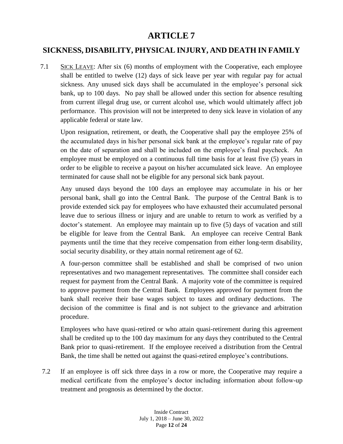### **SICKNESS, DISABILITY, PHYSICAL INJURY, AND DEATH IN FAMILY**

7.1 SICK LEAVE: After six (6) months of employment with the Cooperative, each employee shall be entitled to twelve (12) days of sick leave per year with regular pay for actual sickness. Any unused sick days shall be accumulated in the employee's personal sick bank, up to 100 days. No pay shall be allowed under this section for absence resulting from current illegal drug use, or current alcohol use, which would ultimately affect job performance. This provision will not be interpreted to deny sick leave in violation of any applicable federal or state law.

Upon resignation, retirement, or death, the Cooperative shall pay the employee 25% of the accumulated days in his/her personal sick bank at the employee's regular rate of pay on the date of separation and shall be included on the employee's final paycheck. An employee must be employed on a continuous full time basis for at least five (5) years in order to be eligible to receive a payout on his/her accumulated sick leave. An employee terminated for cause shall not be eligible for any personal sick bank payout.

Any unused days beyond the 100 days an employee may accumulate in his or her personal bank, shall go into the Central Bank. The purpose of the Central Bank is to provide extended sick pay for employees who have exhausted their accumulated personal leave due to serious illness or injury and are unable to return to work as verified by a doctor's statement. An employee may maintain up to five (5) days of vacation and still be eligible for leave from the Central Bank. An employee can receive Central Bank payments until the time that they receive compensation from either long-term disability, social security disability, or they attain normal retirement age of 62.

A four-person committee shall be established and shall be comprised of two union representatives and two management representatives. The committee shall consider each request for payment from the Central Bank. A majority vote of the committee is required to approve payment from the Central Bank. Employees approved for payment from the bank shall receive their base wages subject to taxes and ordinary deductions. The decision of the committee is final and is not subject to the grievance and arbitration procedure.

Employees who have quasi-retired or who attain quasi-retirement during this agreement shall be credited up to the 100 day maximum for any days they contributed to the Central Bank prior to quasi-retirement. If the employee received a distribution from the Central Bank, the time shall be netted out against the quasi-retired employee's contributions.

7.2 If an employee is off sick three days in a row or more, the Cooperative may require a medical certificate from the employee's doctor including information about follow-up treatment and prognosis as determined by the doctor.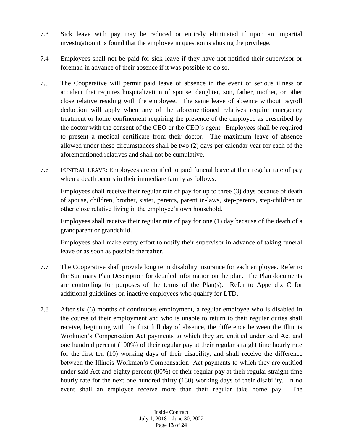- 7.3 Sick leave with pay may be reduced or entirely eliminated if upon an impartial investigation it is found that the employee in question is abusing the privilege.
- 7.4 Employees shall not be paid for sick leave if they have not notified their supervisor or foreman in advance of their absence if it was possible to do so.
- 7.5 The Cooperative will permit paid leave of absence in the event of serious illness or accident that requires hospitalization of spouse, daughter, son, father, mother, or other close relative residing with the employee. The same leave of absence without payroll deduction will apply when any of the aforementioned relatives require emergency treatment or home confinement requiring the presence of the employee as prescribed by the doctor with the consent of the CEO or the CEO's agent. Employees shall be required to present a medical certificate from their doctor. The maximum leave of absence allowed under these circumstances shall be two (2) days per calendar year for each of the aforementioned relatives and shall not be cumulative.
- 7.6 FUNERAL LEAVE: Employees are entitled to paid funeral leave at their regular rate of pay when a death occurs in their immediate family as follows:

Employees shall receive their regular rate of pay for up to three (3) days because of death of spouse, children, brother, sister, parents, parent in-laws, step-parents, step-children or other close relative living in the employee's own household.

Employees shall receive their regular rate of pay for one (1) day because of the death of a grandparent or grandchild.

Employees shall make every effort to notify their supervisor in advance of taking funeral leave or as soon as possible thereafter.

- 7.7 The Cooperative shall provide long term disability insurance for each employee. Refer to the Summary Plan Description for detailed information on the plan. The Plan documents are controlling for purposes of the terms of the Plan(s). Refer to Appendix C for additional guidelines on inactive employees who qualify for LTD.
- 7.8 After six (6) months of continuous employment, a regular employee who is disabled in the course of their employment and who is unable to return to their regular duties shall receive, beginning with the first full day of absence, the difference between the Illinois Workmen's Compensation Act payments to which they are entitled under said Act and one hundred percent (100%) of their regular pay at their regular straight time hourly rate for the first ten (10) working days of their disability, and shall receive the difference between the Illinois Workmen's Compensation Act payments to which they are entitled under said Act and eighty percent (80%) of their regular pay at their regular straight time hourly rate for the next one hundred thirty (130) working days of their disability. In no event shall an employee receive more than their regular take home pay. The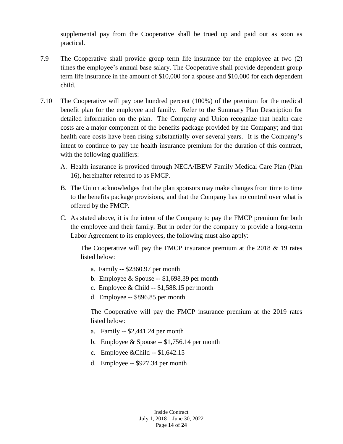supplemental pay from the Cooperative shall be trued up and paid out as soon as practical.

- 7.9 The Cooperative shall provide group term life insurance for the employee at two (2) times the employee's annual base salary. The Cooperative shall provide dependent group term life insurance in the amount of \$10,000 for a spouse and \$10,000 for each dependent child.
- 7.10 The Cooperative will pay one hundred percent (100%) of the premium for the medical benefit plan for the employee and family. Refer to the Summary Plan Description for detailed information on the plan. The Company and Union recognize that health care costs are a major component of the benefits package provided by the Company; and that health care costs have been rising substantially over several years. It is the Company's intent to continue to pay the health insurance premium for the duration of this contract, with the following qualifiers:
	- A. Health insurance is provided through NECA/IBEW Family Medical Care Plan (Plan 16), hereinafter referred to as FMCP.
	- B. The Union acknowledges that the plan sponsors may make changes from time to time to the benefits package provisions, and that the Company has no control over what is offered by the FMCP.
	- C. As stated above, it is the intent of the Company to pay the FMCP premium for both the employee and their family. But in order for the company to provide a long-term Labor Agreement to its employees, the following must also apply:

The Cooperative will pay the FMCP insurance premium at the  $2018 \& 19$  rates listed below:

- a. Family -- \$2360.97 per month
- b. Employee  $&$  Spouse -- \$1,698.39 per month
- c. Employee & Child  $-$  \$1,588.15 per month
- d. Employee -- \$896.85 per month

The Cooperative will pay the FMCP insurance premium at the 2019 rates listed below:

- a. Family -- \$2,441.24 per month
- b. Employee  $&$  Spouse -- \$1,756.14 per month
- c. Employee &Child -- \$1,642.15
- d. Employee -- \$927.34 per month

Inside Contract July 1, 2018 – June 30, 2022 Page **14** of **24**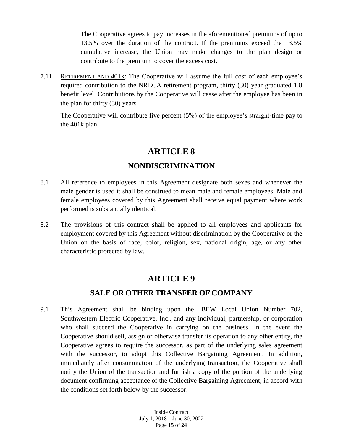The Cooperative agrees to pay increases in the aforementioned premiums of up to 13.5% over the duration of the contract. If the premiums exceed the 13.5% cumulative increase, the Union may make changes to the plan design or contribute to the premium to cover the excess cost.

7.11 RETIREMENT AND 401K: The Cooperative will assume the full cost of each employee's required contribution to the NRECA retirement program, thirty (30) year graduated 1.8 benefit level. Contributions by the Cooperative will cease after the employee has been in the plan for thirty (30) years.

The Cooperative will contribute five percent (5%) of the employee's straight-time pay to the 401k plan.

### **ARTICLE 8**

### **NONDISCRIMINATION**

- 8.1 All reference to employees in this Agreement designate both sexes and whenever the male gender is used it shall be construed to mean male and female employees. Male and female employees covered by this Agreement shall receive equal payment where work performed is substantially identical.
- 8.2 The provisions of this contract shall be applied to all employees and applicants for employment covered by this Agreement without discrimination by the Cooperative or the Union on the basis of race, color, religion, sex, national origin, age, or any other characteristic protected by law.

### **ARTICLE 9**

### **SALE OR OTHER TRANSFER OF COMPANY**

9.1 This Agreement shall be binding upon the IBEW Local Union Number 702, Southwestern Electric Cooperative, Inc., and any individual, partnership, or corporation who shall succeed the Cooperative in carrying on the business. In the event the Cooperative should sell, assign or otherwise transfer its operation to any other entity, the Cooperative agrees to require the successor, as part of the underlying sales agreement with the successor, to adopt this Collective Bargaining Agreement. In addition, immediately after consummation of the underlying transaction, the Cooperative shall notify the Union of the transaction and furnish a copy of the portion of the underlying document confirming acceptance of the Collective Bargaining Agreement, in accord with the conditions set forth below by the successor: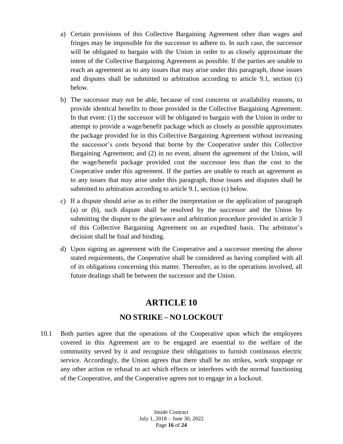- a) Certain provisions of this Collective Bargaining Agreement other than wages and fringes may be impossible for the successor to adhere to. In such case, the successor will be obligated to bargain with the Union in order to as closely approximate the intent of the Collective Bargaining Agreement as possible. If the parties are unable to reach an agreement as to any issues that may arise under this paragraph, those issues and disputes shall be submitted to arbitration according to article 9.1, section (c) below.
- b) The successor may not be able, because of cost concerns or availability reasons, to provide identical benefits to those provided in the Collective Bargaining Agreement. In that event: (1) the successor will be obligated to bargain with the Union in order to attempt to provide a wage/benefit package which as closely as possible approximates the package provided for in this Collective Bargaining Agreement without increasing the successor's costs beyond that borne by the Cooperative under this Collective Bargaining Agreement; and (2) in no event, absent the agreement of the Union, will the wage/benefit package provided cost the successor less than the cost to the Cooperative under this agreement. If the parties are unable to reach an agreement as to any issues that may arise under this paragraph, those issues and disputes shall be submitted to arbitration according to article 9.1, section (c) below.
- c) If a dispute should arise as to either the interpretation or the application of paragraph (a) or (b), such dispute shall be resolved by the successor and the Union by submitting the dispute to the grievance and arbitration procedure provided in article 3 of this Collective Bargaining Agreement on an expedited basis. The arbitrator's decision shall be final and binding.
- d) Upon signing an agreement with the Cooperative and a successor meeting the above stated requirements, the Cooperative shall be considered as having complied with all of its obligations concerning this matter. Thereafter, as to the operations involved, all future dealings shall be between the successor and the Union.

# **ARTICLE 10 NO STRIKE – NO LOCKOUT**

10.1 Both parties agree that the operations of the Cooperative upon which the employees covered in this Agreement are to be engaged are essential to the welfare of the community served by it and recognize their obligations to furnish continuous electric service. Accordingly, the Union agrees that there shall be no strikes, work stoppage or any other action or refusal to act which effects or interferes with the normal functioning of the Cooperative, and the Cooperative agrees not to engage in a lockout.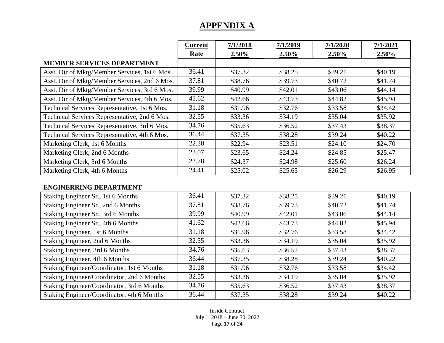|                                               | <b>Current</b> | 7/1/2018 | 7/1/2019 | 7/1/2020 | 7/1/2021 |
|-----------------------------------------------|----------------|----------|----------|----------|----------|
|                                               | <b>Rate</b>    | 2.50%    | $2.50\%$ | $2.50\%$ | $2.50\%$ |
| <b>MEMBER SERVICES DEPARTMENT</b>             |                |          |          |          |          |
| Asst. Dir of Mktg/Member Services, 1st 6 Mos. | 36.41          | \$37.32  | \$38.25  | \$39.21  | \$40.19  |
| Asst. Dir of Mktg/Member Services, 2nd 6 Mos. | 37.81          | \$38.76  | \$39.73  | \$40.72  | \$41.74  |
| Asst. Dir of Mktg/Member Services, 3rd 6 Mos. | 39.99          | \$40.99  | \$42.01  | \$43.06  | \$44.14  |
| Asst. Dir of Mktg/Member Services, 4th 6 Mos. | 41.62          | \$42.66  | \$43.73  | \$44.82  | \$45.94  |
| Technical Services Representative, 1st 6 Mos. | 31.18          | \$31.96  | \$32.76  | \$33.58  | \$34.42  |
| Technical Services Representative, 2nd 6 Mos. | 32.55          | \$33.36  | \$34.19  | \$35.04  | \$35.92  |
| Technical Services Representative, 3rd 6 Mos. | 34.76          | \$35.63  | \$36.52  | \$37.43  | \$38.37  |
| Technical Services Representative, 4th 6 Mos. | 36.44          | \$37.35  | \$38.28  | \$39.24  | \$40.22  |
| Marketing Clerk, 1st 6 Months                 | 22.38          | \$22.94  | \$23.51  | \$24.10  | \$24.70  |
| Marketing Clerk, 2nd 6 Months                 | 23.07          | \$23.65  | \$24.24  | \$24.85  | \$25.47  |
| Marketing Clerk, 3rd 6 Months                 | 23.78          | \$24.37  | \$24.98  | \$25.60  | \$26.24  |
| Marketing Clerk, 4th 6 Months                 | 24.41          | \$25.02  | \$25.65  | \$26.29  | \$26.95  |

#### **ENGINERRING DEPARTMENT**

| Staking Engineer Sr., 1st 6 Months         | 36.41 | \$37.32 | \$38.25 | \$39.21 | \$40.19 |
|--------------------------------------------|-------|---------|---------|---------|---------|
| Staking Engineer Sr., 2nd 6 Months         | 37.81 | \$38.76 | \$39.73 | \$40.72 | \$41.74 |
| Staking Engineer Sr., 3rd 6 Months         | 39.99 | \$40.99 | \$42.01 | \$43.06 | \$44.14 |
| Staking Engineer Sr., 4th 6 Months         | 41.62 | \$42.66 | \$43.73 | \$44.82 | \$45.94 |
| Staking Engineer, 1st 6 Months             | 31.18 | \$31.96 | \$32.76 | \$33.58 | \$34.42 |
| Staking Engineer, 2nd 6 Months             | 32.55 | \$33.36 | \$34.19 | \$35.04 | \$35.92 |
| Staking Engineer, 3rd 6 Months             | 34.76 | \$35.63 | \$36.52 | \$37.43 | \$38.37 |
| Staking Engineer, 4th 6 Months             | 36.44 | \$37.35 | \$38.28 | \$39.24 | \$40.22 |
| Staking Engineer/Coordinator, 1st 6 Months | 31.18 | \$31.96 | \$32.76 | \$33.58 | \$34.42 |
| Staking Engineer/Coordinator, 2nd 6 Months | 32.55 | \$33.36 | \$34.19 | \$35.04 | \$35.92 |
| Staking Engineer/Coordinator, 3rd 6 Months | 34.76 | \$35.63 | \$36.52 | \$37.43 | \$38.37 |
| Staking Engineer/Coordinator, 4th 6 Months | 36.44 | \$37.35 | \$38.28 | \$39.24 | \$40.22 |

Inside Contract July 1, 2018 – June 30, 2022 Page **17** of **24**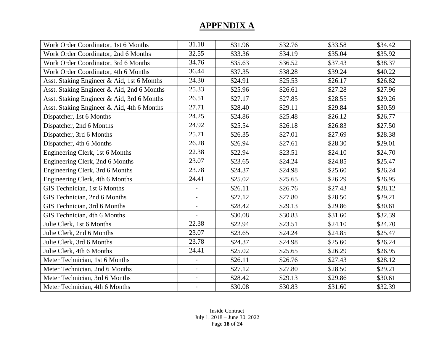| Work Order Coordinator, 1st 6 Months       | 31.18                    | \$31.96 | \$32.76 | \$33.58 | \$34.42 |
|--------------------------------------------|--------------------------|---------|---------|---------|---------|
| Work Order Coordinator, 2nd 6 Months       | 32.55                    | \$33.36 | \$34.19 | \$35.04 | \$35.92 |
| Work Order Coordinator, 3rd 6 Months       | 34.76                    | \$35.63 | \$36.52 | \$37.43 | \$38.37 |
| Work Order Coordinator, 4th 6 Months       | 36.44                    | \$37.35 | \$38.28 | \$39.24 | \$40.22 |
| Asst. Staking Engineer & Aid, 1st 6 Months | 24.30                    | \$24.91 | \$25.53 | \$26.17 | \$26.82 |
| Asst. Staking Engineer & Aid, 2nd 6 Months | 25.33                    | \$25.96 | \$26.61 | \$27.28 | \$27.96 |
| Asst. Staking Engineer & Aid, 3rd 6 Months | 26.51                    | \$27.17 | \$27.85 | \$28.55 | \$29.26 |
| Asst. Staking Engineer & Aid, 4th 6 Months | 27.71                    | \$28.40 | \$29.11 | \$29.84 | \$30.59 |
| Dispatcher, 1st 6 Months                   | 24.25                    | \$24.86 | \$25.48 | \$26.12 | \$26.77 |
| Dispatcher, 2nd 6 Months                   | 24.92                    | \$25.54 | \$26.18 | \$26.83 | \$27.50 |
| Dispatcher, 3rd 6 Months                   | 25.71                    | \$26.35 | \$27.01 | \$27.69 | \$28.38 |
| Dispatcher, 4th 6 Months                   | 26.28                    | \$26.94 | \$27.61 | \$28.30 | \$29.01 |
| Engineering Clerk, 1st 6 Months            | 22.38                    | \$22.94 | \$23.51 | \$24.10 | \$24.70 |
| Engineering Clerk, 2nd 6 Months            | 23.07                    | \$23.65 | \$24.24 | \$24.85 | \$25.47 |
| Engineering Clerk, 3rd 6 Months            | 23.78                    | \$24.37 | \$24.98 | \$25.60 | \$26.24 |
| Engineering Clerk, 4th 6 Months            | 24.41                    | \$25.02 | \$25.65 | \$26.29 | \$26.95 |
| GIS Technician, 1st 6 Months               | $\overline{\phantom{0}}$ | \$26.11 | \$26.76 | \$27.43 | \$28.12 |
| GIS Technician, 2nd 6 Months               |                          | \$27.12 | \$27.80 | \$28.50 | \$29.21 |
| GIS Technician, 3rd 6 Months               | $\overline{\phantom{a}}$ | \$28.42 | \$29.13 | \$29.86 | \$30.61 |
| GIS Technician, 4th 6 Months               | $\overline{a}$           | \$30.08 | \$30.83 | \$31.60 | \$32.39 |
| Julie Clerk, 1st 6 Months                  | 22.38                    | \$22.94 | \$23.51 | \$24.10 | \$24.70 |
| Julie Clerk, 2nd 6 Months                  | 23.07                    | \$23.65 | \$24.24 | \$24.85 | \$25.47 |
| Julie Clerk, 3rd 6 Months                  | 23.78                    | \$24.37 | \$24.98 | \$25.60 | \$26.24 |
| Julie Clerk, 4th 6 Months                  | 24.41                    | \$25.02 | \$25.65 | \$26.29 | \$26.95 |
| Meter Technician, 1st 6 Months             | $\overline{\phantom{a}}$ | \$26.11 | \$26.76 | \$27.43 | \$28.12 |
| Meter Technician, 2nd 6 Months             | $\overline{a}$           | \$27.12 | \$27.80 | \$28.50 | \$29.21 |
| Meter Technician, 3rd 6 Months             | $\overline{a}$           | \$28.42 | \$29.13 | \$29.86 | \$30.61 |
| Meter Technician, 4th 6 Months             | $\overline{\phantom{a}}$ | \$30.08 | \$30.83 | \$31.60 | \$32.39 |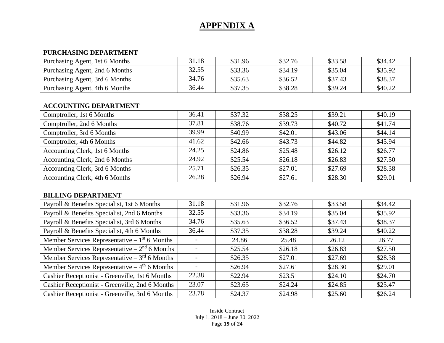#### **PURCHASING DEPARTMENT**

| Purchasing Agent, 1st 6 Months | 31.18 | \$31.96 | \$32.76 | \$33.58 | \$34.42 |
|--------------------------------|-------|---------|---------|---------|---------|
| Purchasing Agent, 2nd 6 Months | 32.55 | \$33.36 | \$34.19 | \$35.04 | \$35.92 |
| Purchasing Agent, 3rd 6 Months | 34.76 | \$35.63 | \$36.52 | \$37.43 | \$38.37 |
| Purchasing Agent, 4th 6 Months | 36.44 | \$37.35 | \$38.28 | \$39.24 | \$40.22 |

#### **ACCOUNTING DEPARTMENT**

| Comptroller, 1st 6 Months      | 36.41 | \$37.32 | \$38.25 | \$39.21 | \$40.19 |
|--------------------------------|-------|---------|---------|---------|---------|
| Comptroller, 2nd 6 Months      | 37.81 | \$38.76 | \$39.73 | \$40.72 | \$41.74 |
| Comptroller, 3rd 6 Months      | 39.99 | \$40.99 | \$42.01 | \$43.06 | \$44.14 |
| Comptroller, 4th 6 Months      | 41.62 | \$42.66 | \$43.73 | \$44.82 | \$45.94 |
| Accounting Clerk, 1st 6 Months | 24.25 | \$24.86 | \$25.48 | \$26.12 | \$26.77 |
| Accounting Clerk, 2nd 6 Months | 24.92 | \$25.54 | \$26.18 | \$26.83 | \$27.50 |
| Accounting Clerk, 3rd 6 Months | 25.71 | \$26.35 | \$27.01 | \$27.69 | \$28.38 |
| Accounting Clerk, 4th 6 Months | 26.28 | \$26.94 | \$27.61 | \$28.30 | \$29.01 |

#### **BILLING DEPARTMENT**

| Payroll & Benefits Specialist, 1st 6 Months     | 31.18 | \$31.96 | \$32.76 | \$33.58 | \$34.42 |
|-------------------------------------------------|-------|---------|---------|---------|---------|
| Payroll & Benefits Specialist, 2nd 6 Months     | 32.55 | \$33.36 | \$34.19 | \$35.04 | \$35.92 |
| Payroll & Benefits Specialist, 3rd 6 Months     | 34.76 | \$35.63 | \$36.52 | \$37.43 | \$38.37 |
| Payroll & Benefits Specialist, 4th 6 Months     | 36.44 | \$37.35 | \$38.28 | \$39.24 | \$40.22 |
| Member Services Representative $-1st 6$ Months  |       | 24.86   | 25.48   | 26.12   | 26.77   |
| Member Services Representative – $2nd$ 6 Months |       | \$25.54 | \$26.18 | \$26.83 | \$27.50 |
| Member Services Representative – $3rd$ 6 Months |       | \$26.35 | \$27.01 | \$27.69 | \$28.38 |
| Member Services Representative $-4th 6$ Months  |       | \$26.94 | \$27.61 | \$28.30 | \$29.01 |
| Cashier Receptionist - Greenville, 1st 6 Months | 22.38 | \$22.94 | \$23.51 | \$24.10 | \$24.70 |
| Cashier Receptionist - Greenville, 2nd 6 Months | 23.07 | \$23.65 | \$24.24 | \$24.85 | \$25.47 |
| Cashier Receptionist - Greenville, 3rd 6 Months | 23.78 | \$24.37 | \$24.98 | \$25.60 | \$26.24 |

Inside Contract July 1, 2018 – June 30, 2022 Page **19** of **24**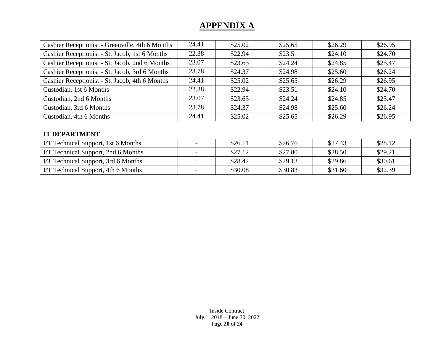| Cashier Receptionist - Greenville, 4th 6 Months | 24.41 | \$25.02 | \$25.65                       | \$26.29                       | \$26.95                                                  |  |  |
|-------------------------------------------------|-------|---------|-------------------------------|-------------------------------|----------------------------------------------------------|--|--|
| Cashier Receptionist - St. Jacob, 1st 6 Months  | 22.38 | \$22.94 | \$23.51                       | \$24.10                       | \$24.70                                                  |  |  |
| Cashier Receptionist - St. Jacob, 2nd 6 Months  | 23.07 | \$23.65 | \$24.24                       | \$24.85                       | \$25.47                                                  |  |  |
| Cashier Receptionist - St. Jacob, 3rd 6 Months  | 23.78 | \$24.37 | \$24.98                       | \$25.60                       | \$26.24                                                  |  |  |
| Cashier Receptionist - St. Jacob, 4th 6 Months  | 24.41 | \$25.02 | \$25.65                       | \$26.29                       | \$26.95                                                  |  |  |
| Custodian, 1st 6 Months                         | 22.38 | \$22.94 | \$23.51                       | \$24.10                       | \$24.70                                                  |  |  |
| Custodian, 2nd 6 Months                         | 23.07 | \$23.65 | \$24.24                       | \$24.85                       | \$25.47                                                  |  |  |
| Custodian, 3rd 6 Months                         | 23.78 | \$24.37 | \$24.98                       | \$25.60                       | \$26.24                                                  |  |  |
| Custodian, 4th 6 Months                         | 24.41 | \$25.02 | \$25.65                       | \$26.29                       | \$26.95                                                  |  |  |
|                                                 |       |         |                               |                               |                                                          |  |  |
| <b>IT DEPARTMENT</b>                            |       |         |                               |                               |                                                          |  |  |
| $\tau$ and $\tau$ is the state of $\tau$        |       | $A - A$ | $\wedge \wedge$ $\sim$ $\sim$ | $\Delta$ $\sim$ $\sim$ $\sim$ | $\mathbf{A} \mathbf{A} \mathbf{A} \mathbf{A} \mathbf{A}$ |  |  |

| I/T Technical Support, 1st 6 Months | $\overline{\phantom{0}}$ | \$26.11 | \$26.76 | \$27.43 | \$28.12 |
|-------------------------------------|--------------------------|---------|---------|---------|---------|
| I/T Technical Support, 2nd 6 Months |                          | \$27.12 | \$27.80 | \$28.50 | \$29.21 |
| IT Technical Support, 3rd 6 Months  | $\overline{\phantom{a}}$ | \$28.42 | \$29.13 | \$29.86 | \$30.61 |
| IT Technical Support, 4th 6 Months  |                          | \$30.08 | \$30.83 | \$31.60 | \$32.39 |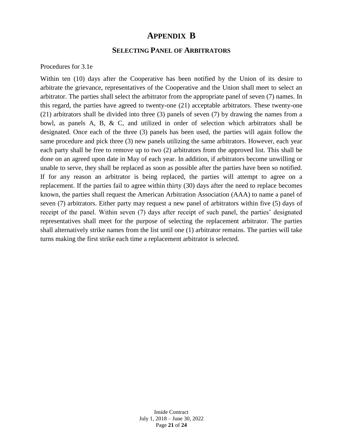#### **APPENDIX B**

#### **SELECTING PANEL OF ARBITRATORS**

Procedures for 3.1e

Within ten (10) days after the Cooperative has been notified by the Union of its desire to arbitrate the grievance, representatives of the Cooperative and the Union shall meet to select an arbitrator. The parties shall select the arbitrator from the appropriate panel of seven (7) names. In this regard, the parties have agreed to twenty-one (21) acceptable arbitrators. These twenty-one (21) arbitrators shall be divided into three (3) panels of seven (7) by drawing the names from a bowl, as panels A, B, & C, and utilized in order of selection which arbitrators shall be designated. Once each of the three (3) panels has been used, the parties will again follow the same procedure and pick three (3) new panels utilizing the same arbitrators. However, each year each party shall be free to remove up to two (2) arbitrators from the approved list. This shall be done on an agreed upon date in May of each year. In addition, if arbitrators become unwilling or unable to serve, they shall be replaced as soon as possible after the parties have been so notified. If for any reason an arbitrator is being replaced, the parties will attempt to agree on a replacement. If the parties fail to agree within thirty (30) days after the need to replace becomes known, the parties shall request the American Arbitration Association (AAA) to name a panel of seven (7) arbitrators. Either party may request a new panel of arbitrators within five (5) days of receipt of the panel. Within seven (7) days after receipt of such panel, the parties' designated representatives shall meet for the purpose of selecting the replacement arbitrator. The parties shall alternatively strike names from the list until one (1) arbitrator remains. The parties will take turns making the first strike each time a replacement arbitrator is selected.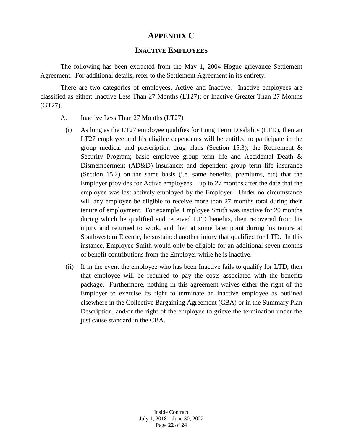#### **APPENDIX C**

#### **INACTIVE EMPLOYEES**

The following has been extracted from the May 1, 2004 Hogue grievance Settlement Agreement. For additional details, refer to the Settlement Agreement in its entirety.

There are two categories of employees, Active and Inactive. Inactive employees are classified as either: Inactive Less Than 27 Months (LT27); or Inactive Greater Than 27 Months (GT27).

- A. Inactive Less Than 27 Months (LT27)
	- (i) As long as the LT27 employee qualifies for Long Term Disability (LTD), then an LT27 employee and his eligible dependents will be entitled to participate in the group medical and prescription drug plans (Section 15.3); the Retirement & Security Program; basic employee group term life and Accidental Death & Dismemberment (AD&D) insurance; and dependent group term life insurance (Section 15.2) on the same basis (i.e. same benefits, premiums, etc) that the Employer provides for Active employees – up to 27 months after the date that the employee was last actively employed by the Employer. Under no circumstance will any employee be eligible to receive more than 27 months total during their tenure of employment. For example, Employee Smith was inactive for 20 months during which he qualified and received LTD benefits, then recovered from his injury and returned to work, and then at some later point during his tenure at Southwestern Electric, he sustained another injury that qualified for LTD. In this instance, Employee Smith would only be eligible for an additional seven months of benefit contributions from the Employer while he is inactive.
	- (ii) If in the event the employee who has been Inactive fails to qualify for LTD, then that employee will be required to pay the costs associated with the benefits package. Furthermore, nothing in this agreement waives either the right of the Employer to exercise its right to terminate an inactive employee as outlined elsewhere in the Collective Bargaining Agreement (CBA) or in the Summary Plan Description, and/or the right of the employee to grieve the termination under the just cause standard in the CBA.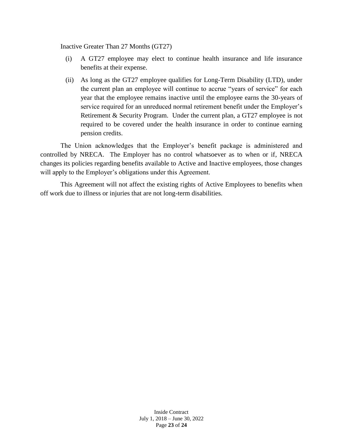Inactive Greater Than 27 Months (GT27)

- (i) A GT27 employee may elect to continue health insurance and life insurance benefits at their expense.
- (ii) As long as the GT27 employee qualifies for Long-Term Disability (LTD), under the current plan an employee will continue to accrue "years of service" for each year that the employee remains inactive until the employee earns the 30-years of service required for an unreduced normal retirement benefit under the Employer's Retirement & Security Program. Under the current plan, a GT27 employee is not required to be covered under the health insurance in order to continue earning pension credits.

The Union acknowledges that the Employer's benefit package is administered and controlled by NRECA. The Employer has no control whatsoever as to when or if, NRECA changes its policies regarding benefits available to Active and Inactive employees, those changes will apply to the Employer's obligations under this Agreement.

This Agreement will not affect the existing rights of Active Employees to benefits when off work due to illness or injuries that are not long-term disabilities.